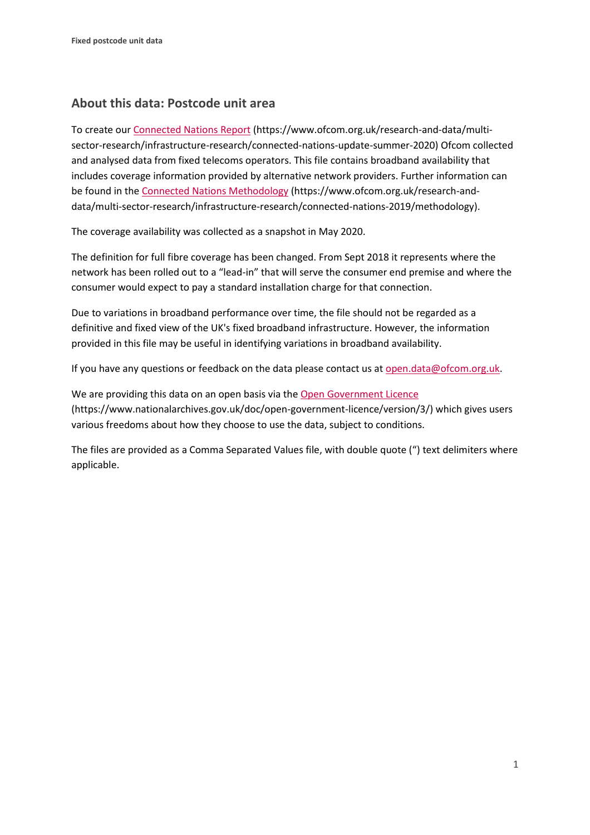## **About this data: Postcode unit area**

To create ou[r Connected Nations Report](https://www.ofcom.org.uk/research-and-data/multi-sector-research/infrastructure-research/connected-nations-update-summer-2020) (https://www.ofcom.org.uk/research-and-data/multisector-research/infrastructure-research/connected-nations-update-summer-2020) Ofcom collected and analysed data from fixed telecoms operators. This file contains broadband availability that includes coverage information provided by alternative network providers. Further information can be found in the [Connected Nations Methodology](https://www.ofcom.org.uk/research-and-data/multi-sector-research/infrastructure-research/connected-nations-2019/methodology) (https://www.ofcom.org.uk/research-anddata/multi-sector-research/infrastructure-research/connected-nations-2019/methodology).

The coverage availability was collected as a snapshot in May 2020.

The definition for full fibre coverage has been changed. From Sept 2018 it represents where the network has been rolled out to a "lead-in" that will serve the consumer end premise and where the consumer would expect to pay a standard installation charge for that connection.

Due to variations in broadband performance over time, the file should not be regarded as a definitive and fixed view of the UK's fixed broadband infrastructure. However, the information provided in this file may be useful in identifying variations in broadband availability.

If you have any questions or feedback on the data please contact us at [open.data@ofcom.org.uk.](mailto:open.data@ofcom.org.uk)

We are providing this data on an open basis via the [Open Government Licence](https://www.nationalarchives.gov.uk/doc/open-government-licence/version/3/) (https://www.nationalarchives.gov.uk/doc/open-government-licence/version/3/) which gives users various freedoms about how they choose to use the data, subject to conditions.

The files are provided as a Comma Separated Values file, with double quote (") text delimiters where applicable.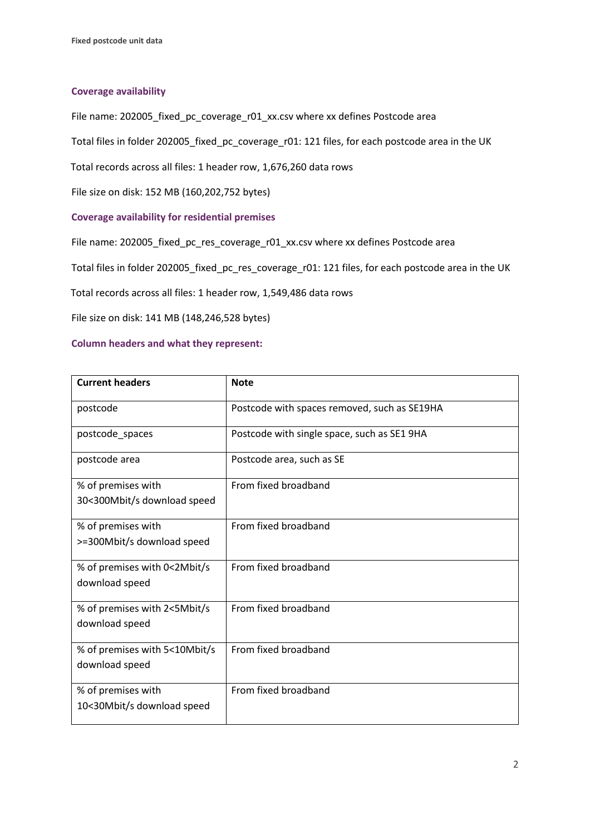## **Coverage availability**

File name: 202005\_fixed\_pc\_coverage\_r01\_xx.csv where xx defines Postcode area

Total files in folder 202005\_fixed\_pc\_coverage\_r01: 121 files, for each postcode area in the UK

Total records across all files: 1 header row, 1,676,260 data rows

File size on disk: 152 MB (160,202,752 bytes)

## **Coverage availability for residential premises**

File name: 202005\_fixed\_pc\_res\_coverage\_r01\_xx.csv where xx defines Postcode area

Total files in folder 202005\_fixed\_pc\_res\_coverage\_r01: 121 files, for each postcode area in the UK

Total records across all files: 1 header row, 1,549,486 data rows

File size on disk: 141 MB (148,246,528 bytes)

## **Column headers and what they represent:**

| <b>Current headers</b>                            | <b>Note</b>                                  |
|---------------------------------------------------|----------------------------------------------|
| postcode                                          | Postcode with spaces removed, such as SE19HA |
| postcode_spaces                                   | Postcode with single space, such as SE1 9HA  |
| postcode area                                     | Postcode area, such as SE                    |
| % of premises with<br>30<300Mbit/s download speed | From fixed broadband                         |
| % of premises with<br>>=300Mbit/s download speed  | From fixed broadband                         |
| % of premises with 0<2Mbit/s<br>download speed    | From fixed broadband                         |
| % of premises with 2<5Mbit/s<br>download speed    | From fixed broadband                         |
| % of premises with 5<10Mbit/s<br>download speed   | From fixed broadband                         |
| % of premises with<br>10<30Mbit/s download speed  | From fixed broadband                         |